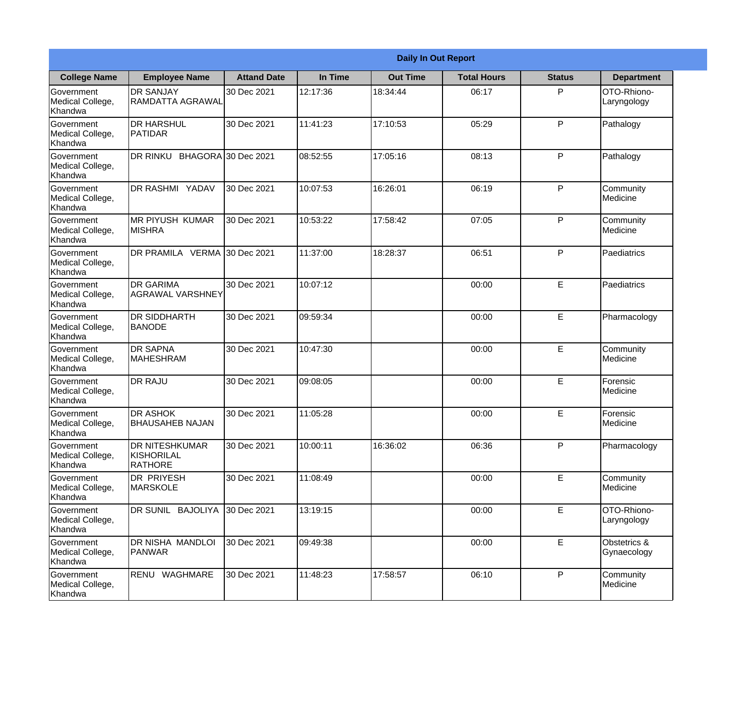|                                                  |                                                       | <b>Daily In Out Report</b> |          |                 |                    |               |                             |  |
|--------------------------------------------------|-------------------------------------------------------|----------------------------|----------|-----------------|--------------------|---------------|-----------------------------|--|
| <b>College Name</b>                              | <b>Employee Name</b>                                  | <b>Attand Date</b>         | In Time  | <b>Out Time</b> | <b>Total Hours</b> | <b>Status</b> | <b>Department</b>           |  |
| Government<br>Medical College,<br>Khandwa        | <b>DR SANJAY</b><br><b>RAMDATTA AGRAWAL</b>           | 30 Dec 2021                | 12:17:36 | 18:34:44        | 06:17              | P             | OTO-Rhiono-<br>Laryngology  |  |
| Government<br>Medical College,<br>Khandwa        | <b>DR HARSHUL</b><br>PATIDAR                          | 30 Dec 2021                | 11:41:23 | 17:10:53        | 05:29              | P             | Pathalogy                   |  |
| Government<br>Medical College,<br>Khandwa        | <b>DR RINKU</b>                                       | BHAGORA 30 Dec 2021        | 08:52:55 | 17:05:16        | 08:13              | P             | Pathalogy                   |  |
| <b>Government</b><br>Medical College,<br>Khandwa | DR RASHMI YADAV                                       | 30 Dec 2021                | 10:07:53 | 16:26:01        | 06:19              | P             | Community<br>Medicine       |  |
| Government<br>Medical College,<br>Khandwa        | <b>MR PIYUSH KUMAR</b><br><b>MISHRA</b>               | 30 Dec 2021                | 10:53:22 | 17:58:42        | 07:05              | $\mathsf{P}$  | Community<br>Medicine       |  |
| Government<br>Medical College,<br>Khandwa        | DR PRAMILA VERMA                                      | 30 Dec 2021                | 11:37:00 | 18:28:37        | 06:51              | P             | Paediatrics                 |  |
| Government<br>Medical College,<br>Khandwa        | <b>DR GARIMA</b><br><b>AGRAWAL VARSHNEY</b>           | 30 Dec 2021                | 10:07:12 |                 | 00:00              | E             | Paediatrics                 |  |
| Government<br>Medical College,<br>Khandwa        | <b>DR SIDDHARTH</b><br><b>BANODE</b>                  | 30 Dec 2021                | 09:59:34 |                 | 00:00              | E             | Pharmacology                |  |
| Government<br>Medical College,<br>Khandwa        | <b>DR SAPNA</b><br>MAHESHRAM                          | 30 Dec 2021                | 10:47:30 |                 | 00:00              | E             | Community<br>Medicine       |  |
| Government<br>Medical College,<br>Khandwa        | <b>DR RAJU</b>                                        | 30 Dec 2021                | 09:08:05 |                 | 00:00              | E             | Forensic<br>Medicine        |  |
| Government<br>Medical College,<br>Khandwa        | <b>DR ASHOK</b><br><b>BHAUSAHEB NAJAN</b>             | 30 Dec 2021                | 11:05:28 |                 | 00:00              | E             | Forensic<br>Medicine        |  |
| Government<br>Medical College,<br>Khandwa        | <b>DR NITESHKUMAR</b><br>KISHORILAL<br><b>RATHORE</b> | 30 Dec 2021                | 10:00:11 | 16:36:02        | 06:36              | P             | Pharmacology                |  |
| Government<br>Medical College,<br>Khandwa        | DR PRIYESH<br><b>MARSKOLE</b>                         | 30 Dec 2021                | 11:08:49 |                 | 00:00              | E             | Community<br>Medicine       |  |
| Government<br>Medical College,<br>Khandwa        | DR SUNIL BAJOLIYA                                     | 30 Dec 2021                | 13:19:15 |                 | 00:00              | E             | OTO-Rhiono-<br>Laryngology  |  |
| Government<br>Medical College,<br>Khandwa        | DR NISHA MANDLOI<br>PANWAR                            | 30 Dec 2021                | 09:49:38 |                 | 00:00              | E             | Obstetrics &<br>Gynaecology |  |
| Government<br>Medical College,<br>Khandwa        | RENU WAGHMARE                                         | 30 Dec 2021                | 11:48:23 | 17:58:57        | 06:10              | P             | Community<br>Medicine       |  |